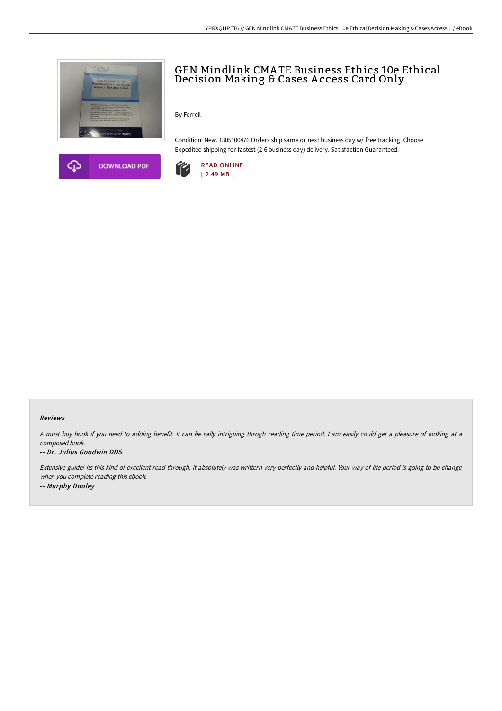



# GEN Mindlink CMA TE Business Ethics 10e Ethical Decision Making & Cases A ccess Card Only

By Ferrell

Condition: New. 1305100476 Orders ship same or next business day w/ free tracking. Choose Expedited shipping for fastest (2-6 business day) delivery. Satisfaction Guaranteed.



### Reviews

<sup>A</sup> must buy book if you need to adding benefit. It can be rally intriguing throgh reading time period. <sup>I</sup> am easily could get <sup>a</sup> pleasure of looking at <sup>a</sup> composed book.

#### -- Dr. Julius Goodwin DDS

Extensive guide! Its this kind of excellent read through. it absolutely was writtern very perfectly and helpful. Your way of life period is going to be change when you complete reading this ebook. -- Murphy Dooley